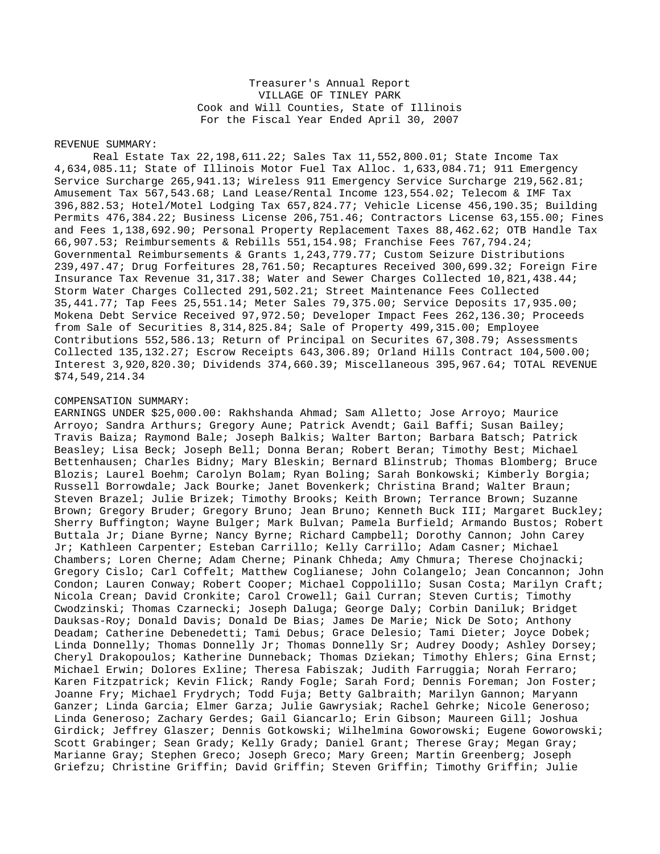## Treasurer's Annual Report VILLAGE OF TINLEY PARK Cook and Will Counties, State of Illinois For the Fiscal Year Ended April 30, 2007

## REVENUE SUMMARY:

Real Estate Tax 22,198,611.22; Sales Tax 11,552,800.01; State Income Tax 4,634,085.11; State of Illinois Motor Fuel Tax Alloc. 1,633,084.71; 911 Emergency Service Surcharge 265,941.13; Wireless 911 Emergency Service Surcharge 219,562.81; Amusement Tax 567,543.68; Land Lease/Rental Income 123,554.02; Telecom & IMF Tax 396,882.53; Hotel/Motel Lodging Tax 657,824.77; Vehicle License 456,190.35; Building Permits 476,384.22; Business License 206,751.46; Contractors License 63,155.00; Fines and Fees 1,138,692.90; Personal Property Replacement Taxes 88,462.62; OTB Handle Tax 66,907.53; Reimbursements & Rebills 551,154.98; Franchise Fees 767,794.24; Governmental Reimbursements & Grants 1,243,779.77; Custom Seizure Distributions 239,497.47; Drug Forfeitures 28,761.50; Recaptures Received 300,699.32; Foreign Fire Insurance Tax Revenue 31,317.38; Water and Sewer Charges Collected 10,821,438.44; Storm Water Charges Collected 291,502.21; Street Maintenance Fees Collected 35,441.77; Tap Fees 25,551.14; Meter Sales 79,375.00; Service Deposits 17,935.00; Mokena Debt Service Received 97,972.50; Developer Impact Fees 262,136.30; Proceeds from Sale of Securities 8,314,825.84; Sale of Property 499,315.00; Employee Contributions 552,586.13; Return of Principal on Securites 67,308.79; Assessments Collected 135,132.27; Escrow Receipts 643,306.89; Orland Hills Contract 104,500.00; Interest 3,920,820.30; Dividends 374,660.39; Miscellaneous 395,967.64; TOTAL REVENUE \$74,549,214.34

## COMPENSATION SUMMARY:

EARNINGS UNDER \$25,000.00: Rakhshanda Ahmad; Sam Alletto; Jose Arroyo; Maurice Arroyo; Sandra Arthurs; Gregory Aune; Patrick Avendt; Gail Baffi; Susan Bailey; Travis Baiza; Raymond Bale; Joseph Balkis; Walter Barton; Barbara Batsch; Patrick Beasley; Lisa Beck; Joseph Bell; Donna Beran; Robert Beran; Timothy Best; Michael Bettenhausen; Charles Bidny; Mary Bleskin; Bernard Blinstrub; Thomas Blomberg; Bruce Blozis; Laurel Boehm; Carolyn Bolam; Ryan Boling; Sarah Bonkowski; Kimberly Borgia; Russell Borrowdale; Jack Bourke; Janet Bovenkerk; Christina Brand; Walter Braun; Steven Brazel; Julie Brizek; Timothy Brooks; Keith Brown; Terrance Brown; Suzanne Brown; Gregory Bruder; Gregory Bruno; Jean Bruno; Kenneth Buck III; Margaret Buckley; Sherry Buffington; Wayne Bulger; Mark Bulvan; Pamela Burfield; Armando Bustos; Robert Buttala Jr; Diane Byrne; Nancy Byrne; Richard Campbell; Dorothy Cannon; John Carey Jr; Kathleen Carpenter; Esteban Carrillo; Kelly Carrillo; Adam Casner; Michael Chambers; Loren Cherne; Adam Cherne; Pinank Chheda; Amy Chmura; Therese Chojnacki; Gregory Cislo; Carl Coffelt; Matthew Coglianese; John Colangelo; Jean Concannon; John Condon; Lauren Conway; Robert Cooper; Michael Coppolillo; Susan Costa; Marilyn Craft; Nicola Crean; David Cronkite; Carol Crowell; Gail Curran; Steven Curtis; Timothy Cwodzinski; Thomas Czarnecki; Joseph Daluga; George Daly; Corbin Daniluk; Bridget Dauksas-Roy; Donald Davis; Donald De Bias; James De Marie; Nick De Soto; Anthony Deadam; Catherine Debenedetti; Tami Debus; Grace Delesio; Tami Dieter; Joyce Dobek; Linda Donnelly; Thomas Donnelly Jr; Thomas Donnelly Sr; Audrey Doody; Ashley Dorsey; Cheryl Drakopoulos; Katherine Dunneback; Thomas Dziekan; Timothy Ehlers; Gina Ernst; Michael Erwin; Dolores Exline; Theresa Fabiszak; Judith Farruggia; Norah Ferraro; Karen Fitzpatrick; Kevin Flick; Randy Fogle; Sarah Ford; Dennis Foreman; Jon Foster; Joanne Fry; Michael Frydrych; Todd Fuja; Betty Galbraith; Marilyn Gannon; Maryann Ganzer; Linda Garcia; Elmer Garza; Julie Gawrysiak; Rachel Gehrke; Nicole Generoso; Linda Generoso; Zachary Gerdes; Gail Giancarlo; Erin Gibson; Maureen Gill; Joshua Girdick; Jeffrey Glaszer; Dennis Gotkowski; Wilhelmina Goworowski; Eugene Goworowski; Scott Grabinger; Sean Grady; Kelly Grady; Daniel Grant; Therese Gray; Megan Gray; Marianne Gray; Stephen Greco; Joseph Greco; Mary Green; Martin Greenberg; Joseph Griefzu; Christine Griffin; David Griffin; Steven Griffin; Timothy Griffin; Julie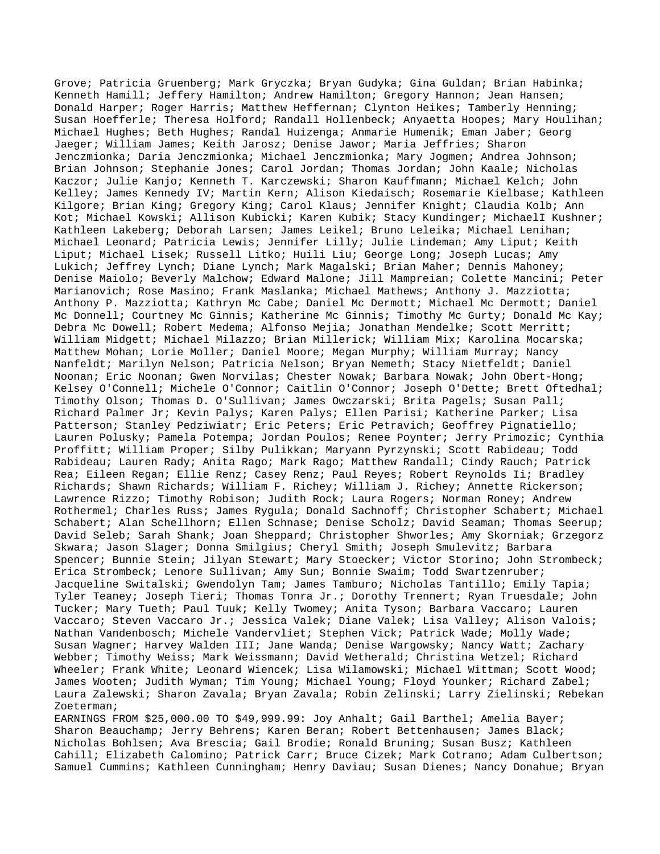Grove; Patricia Gruenberg; Mark Gryczka; Bryan Gudyka; Gina Guldan; Brian Habinka; Kenneth Hamill; Jeffery Hamilton; Andrew Hamilton; Gregory Hannon; Jean Hansen; Donald Harper; Roger Harris; Matthew Heffernan; Clynton Heikes; Tamberly Henning; Susan Hoefferle; Theresa Holford; Randall Hollenbeck; Anyaetta Hoopes; Mary Houlihan; Michael Hughes; Beth Hughes; Randal Huizenga; Anmarie Humenik; Eman Jaber; Georg Jaeger; William James; Keith Jarosz; Denise Jawor; Maria Jeffries; Sharon Jenczmionka; Daria Jenczmionka; Michael Jenczmionka; Mary Jogmen; Andrea Johnson; Brian Johnson; Stephanie Jones; Carol Jordan; Thomas Jordan; John Kaale; Nicholas Kaczor; Julie Kanjo; Kenneth T. Karczewski; Sharon Kauffmann; Michael Kelch; John Kelley; James Kennedy IV; Martin Kern; Alison Kiedaisch; Rosemarie Kielbase; Kathleen Kilgore; Brian King; Gregory King; Carol Klaus; Jennifer Knight; Claudia Kolb; Ann Kot; Michael Kowski; Allison Kubicki; Karen Kubik; Stacy Kundinger; MichaelI Kushner; Kathleen Lakeberg; Deborah Larsen; James Leikel; Bruno Leleika; Michael Lenihan; Michael Leonard; Patricia Lewis; Jennifer Lilly; Julie Lindeman; Amy Liput; Keith Liput; Michael Lisek; Russell Litko; Huili Liu; George Long; Joseph Lucas; Amy Lukich; Jeffrey Lynch; Diane Lynch; Mark Magalski; Brian Maher; Dennis Mahoney; Denise Maiolo; Beverly Malchow; Edward Malone; Jill Mampreian; Colette Mancini; Peter Marianovich; Rose Masino; Frank Maslanka; Michael Mathews; Anthony J. Mazziotta; Anthony P. Mazziotta; Kathryn Mc Cabe; Daniel Mc Dermott; Michael Mc Dermott; Daniel Mc Donnell; Courtney Mc Ginnis; Katherine Mc Ginnis; Timothy Mc Gurty; Donald Mc Kay; Debra Mc Dowell; Robert Medema; Alfonso Mejia; Jonathan Mendelke; Scott Merritt; William Midgett; Michael Milazzo; Brian Millerick; William Mix; Karolina Mocarska; Matthew Mohan; Lorie Moller; Daniel Moore; Megan Murphy; William Murray; Nancy Nanfeldt; Marilyn Nelson; Patricia Nelson; Bryan Nemeth; Stacy Nietfeldt; Daniel Noonan; Eric Noonan; Gwen Norvilas; Chester Nowak; Barbara Nowak; John Obert-Hong; Kelsey O'Connell; Michele O'Connor; Caitlin O'Connor; Joseph O'Dette; Brett Oftedhal; Timothy Olson; Thomas D. O'Sullivan; James Owczarski; Brita Pagels; Susan Pall; Richard Palmer Jr; Kevin Palys; Karen Palys; Ellen Parisi; Katherine Parker; Lisa Patterson; Stanley Pedziwiatr; Eric Peters; Eric Petravich; Geoffrey Pignatiello; Lauren Polusky; Pamela Potempa; Jordan Poulos; Renee Poynter; Jerry Primozic; Cynthia Proffitt; William Proper; Silby Pulikkan; Maryann Pyrzynski; Scott Rabideau; Todd Rabideau; Lauren Rady; Anita Rago; Mark Rago; Matthew Randall; Cindy Rauch; Patrick Rea; Eileen Regan; Ellie Renz; Casey Renz; Paul Reyes; Robert Reynolds Ii; Bradley Richards; Shawn Richards; William F. Richey; William J. Richey; Annette Rickerson; Lawrence Rizzo; Timothy Robison; Judith Rock; Laura Rogers; Norman Roney; Andrew Rothermel; Charles Russ; James Rygula; Donald Sachnoff; Christopher Schabert; Michael Schabert; Alan Schellhorn; Ellen Schnase; Denise Scholz; David Seaman; Thomas Seerup; David Seleb; Sarah Shank; Joan Sheppard; Christopher Shworles; Amy Skorniak; Grzegorz Skwara; Jason Slager; Donna Smilgius; Cheryl Smith; Joseph Smulevitz; Barbara Spencer; Bunnie Stein; Jilyan Stewart; Mary Stoecker; Victor Storino; John Strombeck; Erica Strombeck; Lenore Sullivan; Amy Sun; Bonnie Swaim; Todd Swartzenruber; Jacqueline Switalski; Gwendolyn Tam; James Tamburo; Nicholas Tantillo; Emily Tapia; Tyler Teaney; Joseph Tieri; Thomas Tonra Jr.; Dorothy Trennert; Ryan Truesdale; John Tucker; Mary Tueth; Paul Tuuk; Kelly Twomey; Anita Tyson; Barbara Vaccaro; Lauren Vaccaro; Steven Vaccaro Jr.; Jessica Valek; Diane Valek; Lisa Valley; Alison Valois; Nathan Vandenbosch; Michele Vandervliet; Stephen Vick; Patrick Wade; Molly Wade; Susan Wagner; Harvey Walden III; Jane Wanda; Denise Wargowsky; Nancy Watt; Zachary Webber; Timothy Weiss; Mark Weissmann; David Wetherald; Christina Wetzel; Richard Wheeler; Frank White; Leonard Wiencek; Lisa Wilamowski; Michael Wittman; Scott Wood; James Wooten; Judith Wyman; Tim Young; Michael Young; Floyd Younker; Richard Zabel; Laura Zalewski; Sharon Zavala; Bryan Zavala; Robin Zelinski; Larry Zielinski; Rebekan Zoeterman;

EARNINGS FROM \$25,000.00 TO \$49,999.99: Joy Anhalt; Gail Barthel; Amelia Bayer; Sharon Beauchamp; Jerry Behrens; Karen Beran; Robert Bettenhausen; James Black; Nicholas Bohlsen; Ava Brescia; Gail Brodie; Ronald Bruning; Susan Busz; Kathleen Cahill; Elizabeth Calomino; Patrick Carr; Bruce Cizek; Mark Cotrano; Adam Culbertson; Samuel Cummins; Kathleen Cunningham; Henry Daviau; Susan Dienes; Nancy Donahue; Bryan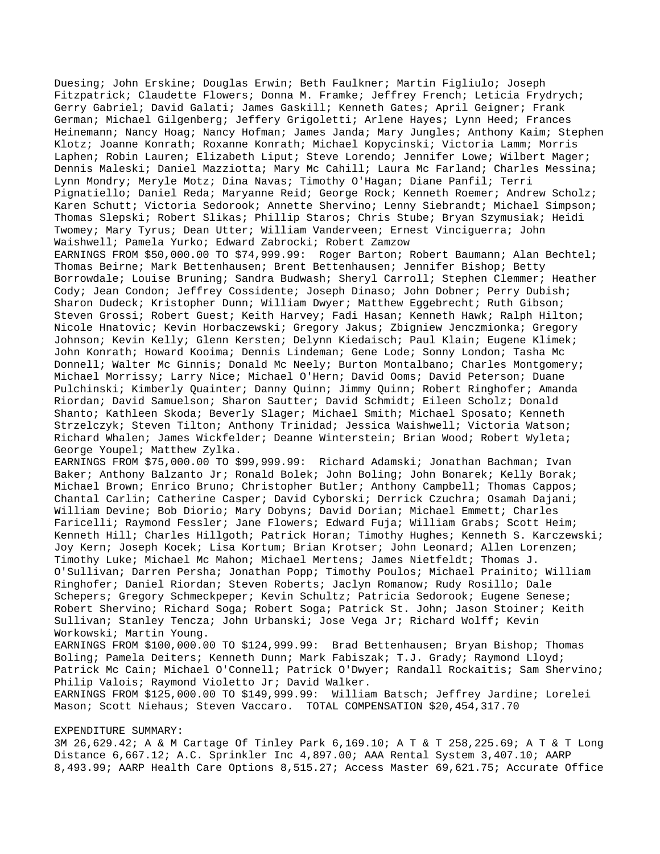Duesing; John Erskine; Douglas Erwin; Beth Faulkner; Martin Figliulo; Joseph Fitzpatrick; Claudette Flowers; Donna M. Framke; Jeffrey French; Leticia Frydrych; Gerry Gabriel; David Galati; James Gaskill; Kenneth Gates; April Geigner; Frank German; Michael Gilgenberg; Jeffery Grigoletti; Arlene Hayes; Lynn Heed; Frances Heinemann; Nancy Hoag; Nancy Hofman; James Janda; Mary Jungles; Anthony Kaim; Stephen Klotz; Joanne Konrath; Roxanne Konrath; Michael Kopycinski; Victoria Lamm; Morris Laphen; Robin Lauren; Elizabeth Liput; Steve Lorendo; Jennifer Lowe; Wilbert Mager; Dennis Maleski; Daniel Mazziotta; Mary Mc Cahill; Laura Mc Farland; Charles Messina; Lynn Mondry; Meryle Motz; Dina Navas; Timothy O'Hagan; Diane Panfil; Terri Pignatiello; Daniel Reda; Maryanne Reid; George Rock; Kenneth Roemer; Andrew Scholz; Karen Schutt; Victoria Sedorook; Annette Shervino; Lenny Siebrandt; Michael Simpson; Thomas Slepski; Robert Slikas; Phillip Staros; Chris Stube; Bryan Szymusiak; Heidi Twomey; Mary Tyrus; Dean Utter; William Vanderveen; Ernest Vinciguerra; John Waishwell; Pamela Yurko; Edward Zabrocki; Robert Zamzow

EARNINGS FROM \$50,000.00 TO \$74,999.99: Roger Barton; Robert Baumann; Alan Bechtel; Thomas Beirne; Mark Bettenhausen; Brent Bettenhausen; Jennifer Bishop; Betty Borrowdale; Louise Bruning; Sandra Budwash; Sheryl Carroll; Stephen Clemmer; Heather Cody; Jean Condon; Jeffrey Cossidente; Joseph Dinaso; John Dobner; Perry Dubish; Sharon Dudeck; Kristopher Dunn; William Dwyer; Matthew Eggebrecht; Ruth Gibson; Steven Grossi; Robert Guest; Keith Harvey; Fadi Hasan; Kenneth Hawk; Ralph Hilton; Nicole Hnatovic; Kevin Horbaczewski; Gregory Jakus; Zbigniew Jenczmionka; Gregory Johnson; Kevin Kelly; Glenn Kersten; Delynn Kiedaisch; Paul Klain; Eugene Klimek; John Konrath; Howard Kooima; Dennis Lindeman; Gene Lode; Sonny London; Tasha Mc Donnell; Walter Mc Ginnis; Donald Mc Neely; Burton Montalbano; Charles Montgomery; Michael Morrissy; Larry Nice; Michael O'Hern; David Ooms; David Peterson; Duane Pulchinski; Kimberly Quainter; Danny Quinn; Jimmy Quinn; Robert Ringhofer; Amanda Riordan; David Samuelson; Sharon Sautter; David Schmidt; Eileen Scholz; Donald Shanto; Kathleen Skoda; Beverly Slager; Michael Smith; Michael Sposato; Kenneth Strzelczyk; Steven Tilton; Anthony Trinidad; Jessica Waishwell; Victoria Watson; Richard Whalen; James Wickfelder; Deanne Winterstein; Brian Wood; Robert Wyleta; George Youpel; Matthew Zylka.

EARNINGS FROM \$75,000.00 TO \$99,999.99: Richard Adamski; Jonathan Bachman; Ivan Baker; Anthony Balzanto Jr; Ronald Bolek; John Boling; John Bonarek; Kelly Borak; Michael Brown; Enrico Bruno; Christopher Butler; Anthony Campbell; Thomas Cappos; Chantal Carlin; Catherine Casper; David Cyborski; Derrick Czuchra; Osamah Dajani; William Devine; Bob Diorio; Mary Dobyns; David Dorian; Michael Emmett; Charles Faricelli; Raymond Fessler; Jane Flowers; Edward Fuja; William Grabs; Scott Heim; Kenneth Hill; Charles Hillgoth; Patrick Horan; Timothy Hughes; Kenneth S. Karczewski; Joy Kern; Joseph Kocek; Lisa Kortum; Brian Krotser; John Leonard; Allen Lorenzen; Timothy Luke; Michael Mc Mahon; Michael Mertens; James Nietfeldt; Thomas J. O'Sullivan; Darren Persha; Jonathan Popp; Timothy Poulos; Michael Prainito; William Ringhofer; Daniel Riordan; Steven Roberts; Jaclyn Romanow; Rudy Rosillo; Dale Schepers; Gregory Schmeckpeper; Kevin Schultz; Patricia Sedorook; Eugene Senese; Robert Shervino; Richard Soga; Robert Soga; Patrick St. John; Jason Stoiner; Keith Sullivan; Stanley Tencza; John Urbanski; Jose Vega Jr; Richard Wolff; Kevin Workowski; Martin Young.

EARNINGS FROM \$100,000.00 TO \$124,999.99: Brad Bettenhausen; Bryan Bishop; Thomas Boling; Pamela Deiters; Kenneth Dunn; Mark Fabiszak; T.J. Grady; Raymond Lloyd; Patrick Mc Cain; Michael O'Connell; Patrick O'Dwyer; Randall Rockaitis; Sam Shervino; Philip Valois; Raymond Violetto Jr; David Walker.

EARNINGS FROM \$125,000.00 TO \$149,999.99: William Batsch; Jeffrey Jardine; Lorelei Mason; Scott Niehaus; Steven Vaccaro. TOTAL COMPENSATION \$20,454,317.70

## EXPENDITURE SUMMARY:

3M 26,629.42; A & M Cartage Of Tinley Park 6,169.10; A T & T 258,225.69; A T & T Long Distance 6,667.12; A.C. Sprinkler Inc 4,897.00; AAA Rental System 3,407.10; AARP 8,493.99; AARP Health Care Options 8,515.27; Access Master 69,621.75; Accurate Office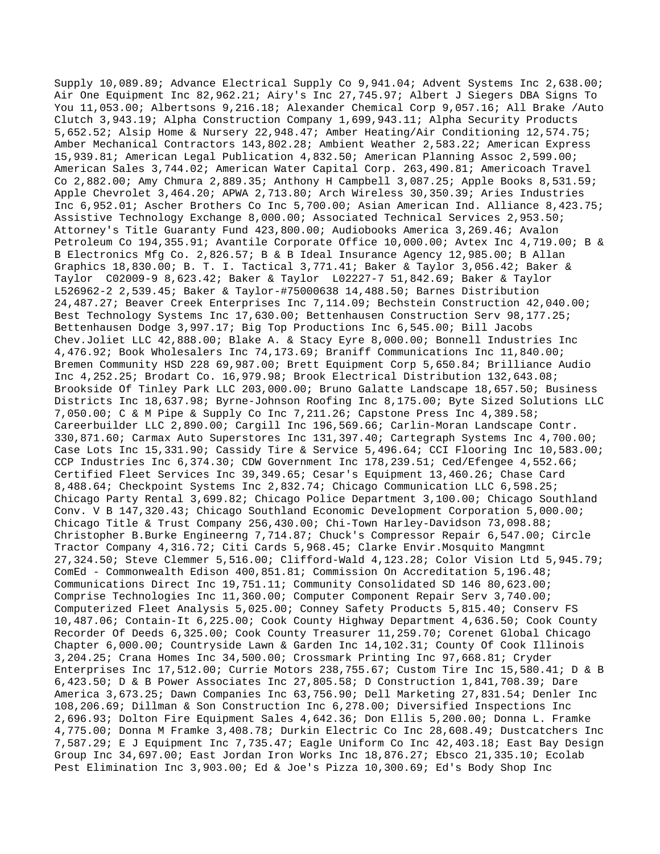Supply 10,089.89; Advance Electrical Supply Co 9,941.04; Advent Systems Inc 2,638.00; Air One Equipment Inc 82,962.21; Airy's Inc 27,745.97; Albert J Siegers DBA Signs To You 11,053.00; Albertsons 9,216.18; Alexander Chemical Corp 9,057.16; All Brake /Auto Clutch 3,943.19; Alpha Construction Company 1,699,943.11; Alpha Security Products 5,652.52; Alsip Home & Nursery 22,948.47; Amber Heating/Air Conditioning 12,574.75; Amber Mechanical Contractors 143,802.28; Ambient Weather 2,583.22; American Express 15,939.81; American Legal Publication 4,832.50; American Planning Assoc 2,599.00; American Sales 3,744.02; American Water Capital Corp. 263,490.81; Americoach Travel Co 2,882.00; Amy Chmura 2,889.35; Anthony H Campbell 3,087.25; Apple Books 8,531.59; Apple Chevrolet 3,464.20; APWA 2,713.80; Arch Wireless 30,350.39; Aries Industries Inc 6,952.01; Ascher Brothers Co Inc 5,700.00; Asian American Ind. Alliance 8,423.75; Assistive Technology Exchange 8,000.00; Associated Technical Services 2,953.50; Attorney's Title Guaranty Fund 423,800.00; Audiobooks America 3,269.46; Avalon Petroleum Co 194,355.91; Avantile Corporate Office 10,000.00; Avtex Inc 4,719.00; B & B Electronics Mfg Co. 2,826.57; B & B Ideal Insurance Agency 12,985.00; B Allan Graphics 18,830.00; B. T. I. Tactical 3,771.41; Baker & Taylor 3,056.42; Baker & Taylor C02009-9 8,623.42; Baker & Taylor L02227-7 51,842.69; Baker & Taylor L526962-2 2,539.45; Baker & Taylor-#75000638 14,488.50; Barnes Distribution 24,487.27; Beaver Creek Enterprises Inc 7,114.09; Bechstein Construction 42,040.00; Best Technology Systems Inc 17,630.00; Bettenhausen Construction Serv 98,177.25; Bettenhausen Dodge 3,997.17; Big Top Productions Inc 6,545.00; Bill Jacobs Chev.Joliet LLC 42,888.00; Blake A. & Stacy Eyre 8,000.00; Bonnell Industries Inc 4,476.92; Book Wholesalers Inc 74,173.69; Braniff Communications Inc 11,840.00; Bremen Community HSD 228 69,987.00; Brett Equipment Corp 5,650.84; Brilliance Audio Inc 4,252.25; Brodart Co. 16,979.98; Brook Electrical Distribution 132,643.08; Brookside Of Tinley Park LLC 203,000.00; Bruno Galatte Landscape 18,657.50; Business Districts Inc 18,637.98; Byrne-Johnson Roofing Inc 8,175.00; Byte Sized Solutions LLC 7,050.00; C & M Pipe & Supply Co Inc 7,211.26; Capstone Press Inc 4,389.58; Careerbuilder LLC 2,890.00; Cargill Inc 196,569.66; Carlin-Moran Landscape Contr. 330,871.60; Carmax Auto Superstores Inc 131,397.40; Cartegraph Systems Inc 4,700.00; Case Lots Inc 15,331.90; Cassidy Tire & Service 5,496.64; CCI Flooring Inc 10,583.00; CCP Industries Inc 6,374.30; CDW Government Inc 178,239.51; Ced/Efengee 4,552.66; Certified Fleet Services Inc 39,349.65; Cesar's Equipment 13,460.26; Chase Card 8,488.64; Checkpoint Systems Inc 2,832.74; Chicago Communication LLC 6,598.25; Chicago Party Rental 3,699.82; Chicago Police Department 3,100.00; Chicago Southland Conv. V B 147,320.43; Chicago Southland Economic Development Corporation 5,000.00; Chicago Title & Trust Company 256,430.00; Chi-Town Harley-Davidson 73,098.88; Christopher B.Burke Engineerng 7,714.87; Chuck's Compressor Repair 6,547.00; Circle Tractor Company 4,316.72; Citi Cards 5,968.45; Clarke Envir.Mosquito Mangmnt 27,324.50; Steve Clemmer 5,516.00; Clifford-Wald 4,123.28; Color Vision Ltd 5,945.79; ComEd - Commonwealth Edison 400,851.81; Commission On Accreditation 5,196.48; Communications Direct Inc 19,751.11; Community Consolidated SD 146 80,623.00; Comprise Technologies Inc 11,360.00; Computer Component Repair Serv 3,740.00; Computerized Fleet Analysis 5,025.00; Conney Safety Products 5,815.40; Conserv FS 10,487.06; Contain-It 6,225.00; Cook County Highway Department 4,636.50; Cook County Recorder Of Deeds 6,325.00; Cook County Treasurer 11,259.70; Corenet Global Chicago Chapter 6,000.00; Countryside Lawn & Garden Inc 14,102.31; County Of Cook Illinois 3,204.25; Crana Homes Inc 34,500.00; Crossmark Printing Inc 97,668.81; Cryder Enterprises Inc 17,512.00; Currie Motors 238,755.67; Custom Tire Inc 15,580.41; D & B 6,423.50; D & B Power Associates Inc 27,805.58; D Construction 1,841,708.39; Dare America 3,673.25; Dawn Companies Inc 63,756.90; Dell Marketing 27,831.54; Denler Inc 108,206.69; Dillman & Son Construction Inc 6,278.00; Diversified Inspections Inc 2,696.93; Dolton Fire Equipment Sales 4,642.36; Don Ellis 5,200.00; Donna L. Framke 4,775.00; Donna M Framke 3,408.78; Durkin Electric Co Inc 28,608.49; Dustcatchers Inc 7,587.29; E J Equipment Inc 7,735.47; Eagle Uniform Co Inc 42,403.18; East Bay Design Group Inc 34,697.00; East Jordan Iron Works Inc 18,876.27; Ebsco 21,335.10; Ecolab Pest Elimination Inc 3,903.00; Ed & Joe's Pizza 10,300.69; Ed's Body Shop Inc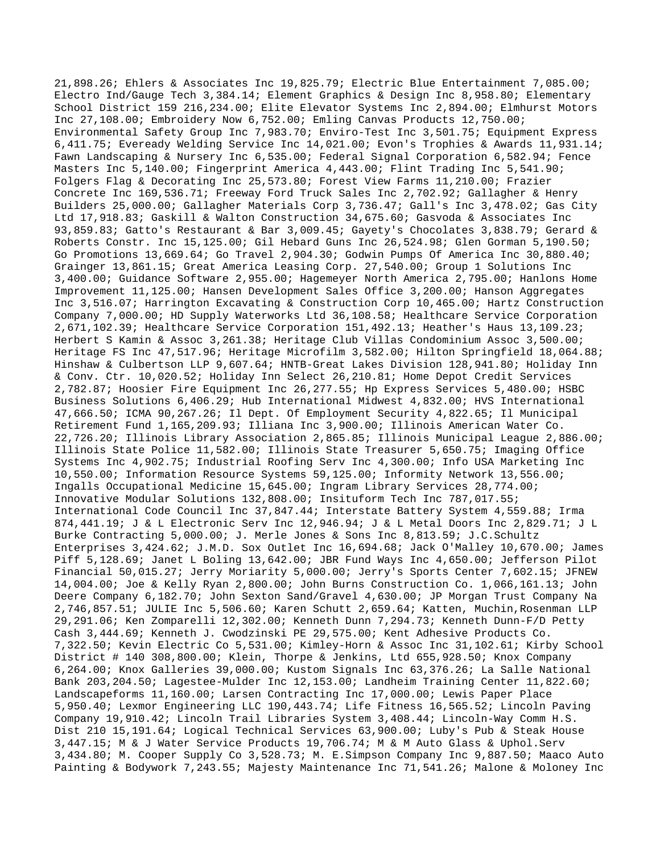21,898.26; Ehlers & Associates Inc 19,825.79; Electric Blue Entertainment 7,085.00; Electro Ind/Gauge Tech 3,384.14; Element Graphics & Design Inc 8,958.80; Elementary School District 159 216,234.00; Elite Elevator Systems Inc 2,894.00; Elmhurst Motors Inc 27,108.00; Embroidery Now 6,752.00; Emling Canvas Products 12,750.00; Environmental Safety Group Inc 7,983.70; Enviro-Test Inc 3,501.75; Equipment Express 6,411.75; Eveready Welding Service Inc 14,021.00; Evon's Trophies & Awards 11,931.14; Fawn Landscaping & Nursery Inc 6,535.00; Federal Signal Corporation 6,582.94; Fence Masters Inc 5,140.00; Fingerprint America 4,443.00; Flint Trading Inc 5,541.90; Folgers Flag & Decorating Inc 25,573.80; Forest View Farms 11,210.00; Frazier Concrete Inc 169,536.71; Freeway Ford Truck Sales Inc 2,702.92; Gallagher & Henry Builders 25,000.00; Gallagher Materials Corp 3,736.47; Gall's Inc 3,478.02; Gas City Ltd 17,918.83; Gaskill & Walton Construction 34,675.60; Gasvoda & Associates Inc 93,859.83; Gatto's Restaurant & Bar 3,009.45; Gayety's Chocolates 3,838.79; Gerard & Roberts Constr. Inc 15,125.00; Gil Hebard Guns Inc 26,524.98; Glen Gorman 5,190.50; Go Promotions 13,669.64; Go Travel 2,904.30; Godwin Pumps Of America Inc 30,880.40; Grainger 13,861.15; Great America Leasing Corp. 27,540.00; Group 1 Solutions Inc 3,400.00; Guidance Software 2,955.00; Hagemeyer North America 2,795.00; Hanlons Home Improvement 11,125.00; Hansen Development Sales Office 3,200.00; Hanson Aggregates Inc 3,516.07; Harrington Excavating & Construction Corp 10,465.00; Hartz Construction Company 7,000.00; HD Supply Waterworks Ltd 36,108.58; Healthcare Service Corporation 2,671,102.39; Healthcare Service Corporation 151,492.13; Heather's Haus 13,109.23; Herbert S Kamin & Assoc 3,261.38; Heritage Club Villas Condominium Assoc 3,500.00; Heritage FS Inc 47,517.96; Heritage Microfilm 3,582.00; Hilton Springfield 18,064.88; Hinshaw & Culbertson LLP 9,607.64; HNTB-Great Lakes Division 128,941.80; Holiday Inn & Conv. Ctr. 10,020.52; Holiday Inn Select 26,210.81; Home Depot Credit Services 2,782.87; Hoosier Fire Equipment Inc 26,277.55; Hp Express Services 5,480.00; HSBC Business Solutions 6,406.29; Hub International Midwest 4,832.00; HVS International 47,666.50; ICMA 90,267.26; Il Dept. Of Employment Security 4,822.65; Il Municipal Retirement Fund 1,165,209.93; Illiana Inc 3,900.00; Illinois American Water Co. 22,726.20; Illinois Library Association 2,865.85; Illinois Municipal League 2,886.00; Illinois State Police 11,582.00; Illinois State Treasurer 5,650.75; Imaging Office Systems Inc 4,902.75; Industrial Roofing Serv Inc 4,300.00; Info USA Marketing Inc 10,550.00; Information Resource Systems 59,125.00; Informity Network 13,556.00; Ingalls Occupational Medicine 15,645.00; Ingram Library Services 28,774.00; Innovative Modular Solutions 132,808.00; Insituform Tech Inc 787,017.55; International Code Council Inc 37,847.44; Interstate Battery System 4,559.88; Irma 874,441.19; J & L Electronic Serv Inc 12,946.94; J & L Metal Doors Inc 2,829.71; J L Burke Contracting 5,000.00; J. Merle Jones & Sons Inc 8,813.59; J.C.Schultz Enterprises 3,424.62; J.M.D. Sox Outlet Inc 16,694.68; Jack O'Malley 10,670.00; James Piff 5,128.69; Janet L Boling 13,642.00; JBR Fund Ways Inc 4,650.00; Jefferson Pilot Financial 50,015.27; Jerry Moriarity 5,000.00; Jerry's Sports Center 7,602.15; JFNEW 14,004.00; Joe & Kelly Ryan 2,800.00; John Burns Construction Co. 1,066,161.13; John Deere Company 6,182.70; John Sexton Sand/Gravel 4,630.00; JP Morgan Trust Company Na 2,746,857.51; JULIE Inc 5,506.60; Karen Schutt 2,659.64; Katten, Muchin,Rosenman LLP 29,291.06; Ken Zomparelli 12,302.00; Kenneth Dunn 7,294.73; Kenneth Dunn-F/D Petty Cash 3,444.69; Kenneth J. Cwodzinski PE 29,575.00; Kent Adhesive Products Co. 7,322.50; Kevin Electric Co 5,531.00; Kimley-Horn & Assoc Inc 31,102.61; Kirby School District # 140 308,800.00; Klein, Thorpe & Jenkins, Ltd 655,928.50; Knox Company 6,264.00; Knox Galleries 39,000.00; Kustom Signals Inc 63,376.26; La Salle National Bank 203,204.50; Lagestee-Mulder Inc 12,153.00; Landheim Training Center 11,822.60; Landscapeforms 11,160.00; Larsen Contracting Inc 17,000.00; Lewis Paper Place 5,950.40; Lexmor Engineering LLC 190,443.74; Life Fitness 16,565.52; Lincoln Paving Company 19,910.42; Lincoln Trail Libraries System 3,408.44; Lincoln-Way Comm H.S. Dist 210 15,191.64; Logical Technical Services 63,900.00; Luby's Pub & Steak House 3,447.15; M & J Water Service Products 19,706.74; M & M Auto Glass & Uphol.Serv 3,434.80; M. Cooper Supply Co 3,528.73; M. E.Simpson Company Inc 9,887.50; Maaco Auto Painting & Bodywork 7,243.55; Majesty Maintenance Inc 71,541.26; Malone & Moloney Inc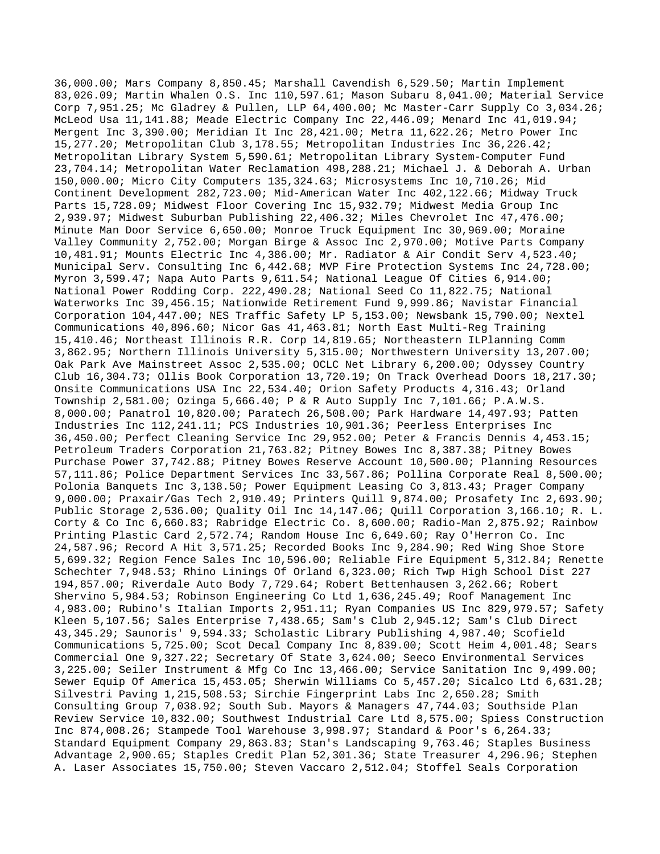36,000.00; Mars Company 8,850.45; Marshall Cavendish 6,529.50; Martin Implement 83,026.09; Martin Whalen O.S. Inc 110,597.61; Mason Subaru 8,041.00; Material Service Corp 7,951.25; Mc Gladrey & Pullen, LLP 64,400.00; Mc Master-Carr Supply Co 3,034.26; McLeod Usa 11,141.88; Meade Electric Company Inc 22,446.09; Menard Inc 41,019.94; Mergent Inc 3,390.00; Meridian It Inc 28,421.00; Metra 11,622.26; Metro Power Inc 15,277.20; Metropolitan Club 3,178.55; Metropolitan Industries Inc 36,226.42; Metropolitan Library System 5,590.61; Metropolitan Library System-Computer Fund 23,704.14; Metropolitan Water Reclamation 498,288.21; Michael J. & Deborah A. Urban 150,000.00; Micro City Computers 135,324.63; Microsystems Inc 10,710.26; Mid Continent Development 282,723.00; Mid-American Water Inc 402,122.66; Midway Truck Parts 15,728.09; Midwest Floor Covering Inc 15,932.79; Midwest Media Group Inc 2,939.97; Midwest Suburban Publishing 22,406.32; Miles Chevrolet Inc 47,476.00; Minute Man Door Service 6,650.00; Monroe Truck Equipment Inc 30,969.00; Moraine Valley Community 2,752.00; Morgan Birge & Assoc Inc 2,970.00; Motive Parts Company 10,481.91; Mounts Electric Inc 4,386.00; Mr. Radiator & Air Condit Serv 4,523.40; Municipal Serv. Consulting Inc 6,442.68; MVP Fire Protection Systems Inc 24,728.00; Myron 3,599.47; Napa Auto Parts 9,611.54; National League Of Cities 6,914.00; National Power Rodding Corp. 222,490.28; National Seed Co 11,822.75; National Waterworks Inc 39,456.15; Nationwide Retirement Fund 9,999.86; Navistar Financial Corporation 104,447.00; NES Traffic Safety LP 5,153.00; Newsbank 15,790.00; Nextel Communications 40,896.60; Nicor Gas 41,463.81; North East Multi-Reg Training 15,410.46; Northeast Illinois R.R. Corp 14,819.65; Northeastern ILPlanning Comm 3,862.95; Northern Illinois University 5,315.00; Northwestern University 13,207.00; Oak Park Ave Mainstreet Assoc 2,535.00; OCLC Net Library 6,200.00; Odyssey Country Club 16,304.73; Ollis Book Corporation 13,720.19; On Track Overhead Doors 18,217.30; Onsite Communications USA Inc 22,534.40; Orion Safety Products 4,316.43; Orland Township 2,581.00; Ozinga 5,666.40; P & R Auto Supply Inc 7,101.66; P.A.W.S. 8,000.00; Panatrol 10,820.00; Paratech 26,508.00; Park Hardware 14,497.93; Patten Industries Inc 112,241.11; PCS Industries 10,901.36; Peerless Enterprises Inc 36,450.00; Perfect Cleaning Service Inc 29,952.00; Peter & Francis Dennis 4,453.15; Petroleum Traders Corporation 21,763.82; Pitney Bowes Inc 8,387.38; Pitney Bowes Purchase Power 37,742.88; Pitney Bowes Reserve Account 10,500.00; Planning Resources 57,111.86; Police Department Services Inc 33,567.86; Pollina Corporate Real 8,500.00; Polonia Banquets Inc 3,138.50; Power Equipment Leasing Co 3,813.43; Prager Company 9,000.00; Praxair/Gas Tech 2,910.49; Printers Quill 9,874.00; Prosafety Inc 2,693.90; Public Storage 2,536.00; Quality Oil Inc 14,147.06; Quill Corporation 3,166.10; R. L. Corty & Co Inc 6,660.83; Rabridge Electric Co. 8,600.00; Radio-Man 2,875.92; Rainbow Printing Plastic Card 2,572.74; Random House Inc 6,649.60; Ray O'Herron Co. Inc 24,587.96; Record A Hit 3,571.25; Recorded Books Inc 9,284.90; Red Wing Shoe Store 5,699.32; Region Fence Sales Inc 10,596.00; Reliable Fire Equipment 5,312.84; Renette Schechter 7,948.53; Rhino Linings Of Orland 6,323.00; Rich Twp High School Dist 227 194,857.00; Riverdale Auto Body 7,729.64; Robert Bettenhausen 3,262.66; Robert Shervino 5,984.53; Robinson Engineering Co Ltd 1,636,245.49; Roof Management Inc 4,983.00; Rubino's Italian Imports 2,951.11; Ryan Companies US Inc 829,979.57; Safety Kleen 5,107.56; Sales Enterprise 7,438.65; Sam's Club 2,945.12; Sam's Club Direct 43,345.29; Saunoris' 9,594.33; Scholastic Library Publishing 4,987.40; Scofield Communications 5,725.00; Scot Decal Company Inc 8,839.00; Scott Heim 4,001.48; Sears Commercial One 9,327.22; Secretary Of State 3,624.00; Seeco Environmental Services 3,225.00; Seiler Instrument & Mfg Co Inc 13,466.00; Service Sanitation Inc 9,499.00; Sewer Equip Of America 15,453.05; Sherwin Williams Co 5,457.20; Sicalco Ltd 6,631.28; Silvestri Paving 1,215,508.53; Sirchie Fingerprint Labs Inc 2,650.28; Smith Consulting Group 7,038.92; South Sub. Mayors & Managers 47,744.03; Southside Plan Review Service 10,832.00; Southwest Industrial Care Ltd 8,575.00; Spiess Construction Inc 874,008.26; Stampede Tool Warehouse 3,998.97; Standard & Poor's 6,264.33; Standard Equipment Company 29,863.83; Stan's Landscaping 9,763.46; Staples Business Advantage 2,900.65; Staples Credit Plan 52,301.36; State Treasurer 4,296.96; Stephen A. Laser Associates 15,750.00; Steven Vaccaro 2,512.04; Stoffel Seals Corporation